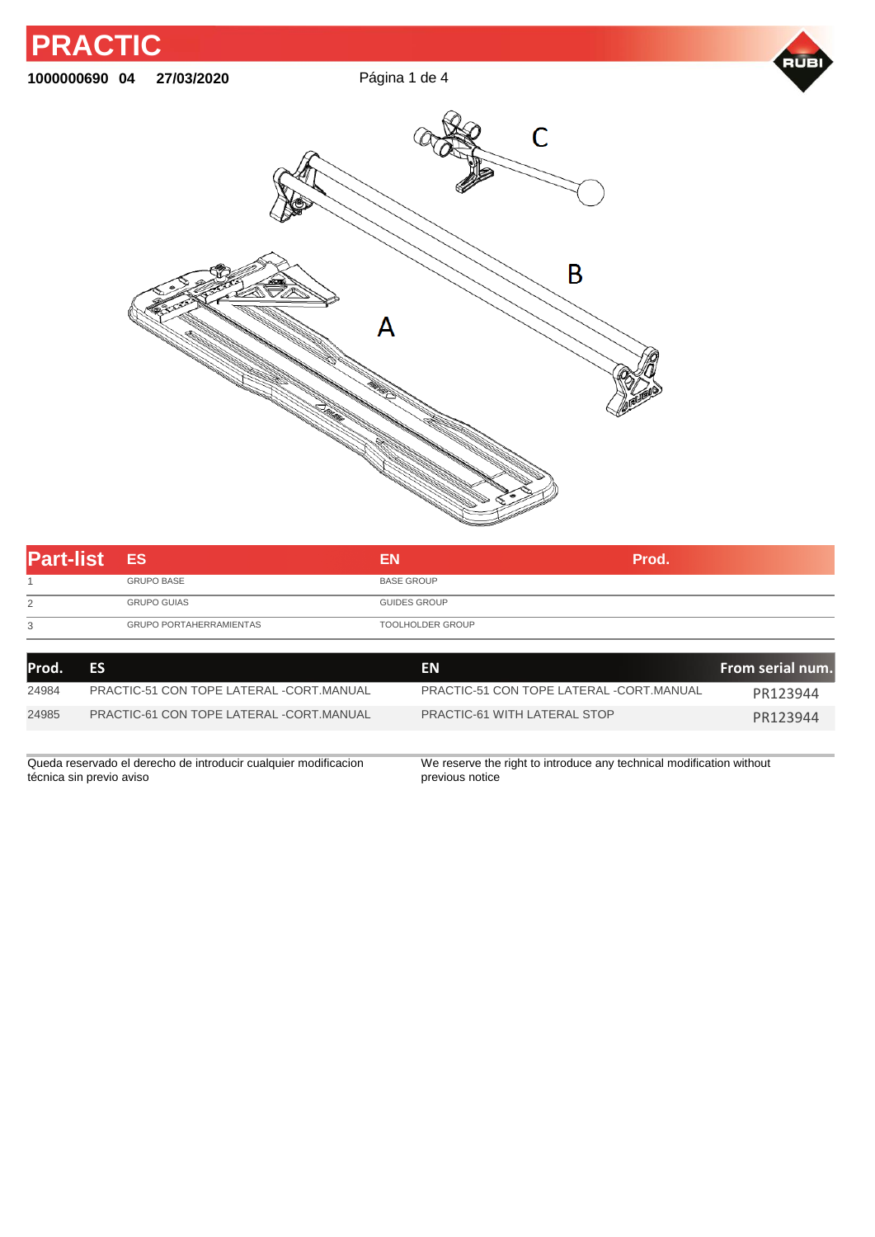

| <b>Part-list ES</b> |                                | ΕN                  | Prod. |
|---------------------|--------------------------------|---------------------|-------|
|                     | <b>GRUPO BASE</b>              | <b>BASE GROUP</b>   |       |
| 2                   | <b>GRUPO GUIAS</b>             | <b>GUIDES GROUP</b> |       |
| 3                   | <b>GRUPO PORTAHERRAMIENTAS</b> | TOOLHOLDER GROUP    |       |
|                     |                                |                     |       |

| lProd. | ES                                                              | <b>EN</b>                                                            | From serial num. |
|--------|-----------------------------------------------------------------|----------------------------------------------------------------------|------------------|
| 24984  | PRACTIC-51 CON TOPE LATERAL -CORT.MANUAL                        | PRACTIC-51 CON TOPE LATERAL -CORT.MANUAL                             | PR123944         |
| 24985  | PRACTIC-61 CON TOPE LATERAL -CORT.MANUAL                        | PRACTIC-61 WITH LATERAL STOP                                         | PR123944         |
|        |                                                                 |                                                                      |                  |
|        | Queda reservado el derecho de introducir cualquier modificacion | We reserve the right to introduce any technical modification without |                  |

técnica sin previo aviso

We reserve the right to introduce any technical modification without previous notice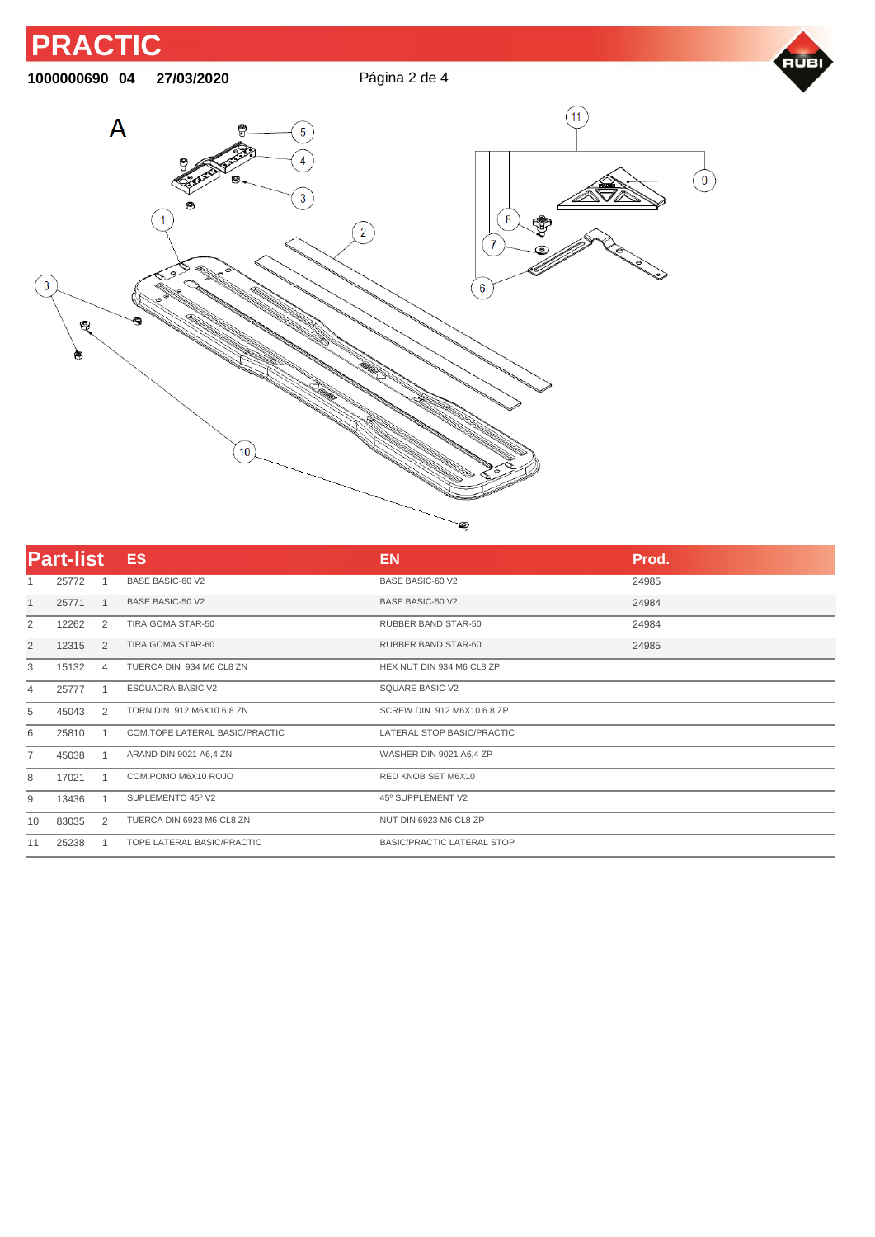

| <b>Part-list</b> |       |                | <b>ES</b>                      | <b>EN</b>                         | Prod. |
|------------------|-------|----------------|--------------------------------|-----------------------------------|-------|
|                  | 25772 |                | BASE BASIC-60 V2               | <b>BASE BASIC-60 V2</b>           | 24985 |
|                  | 25771 | $\mathbf{1}$   | <b>BASE BASIC-50 V2</b>        | <b>BASE BASIC-50 V2</b>           | 24984 |
| $\overline{2}$   | 12262 | 2              | TIRA GOMA STAR-50              | <b>RUBBER BAND STAR-50</b>        | 24984 |
| 2                | 12315 | 2              | TIRA GOMA STAR-60              | RUBBER BAND STAR-60               | 24985 |
| 3                | 15132 | $\overline{4}$ | TUERCA DIN 934 M6 CL8 ZN       | HEX NUT DIN 934 M6 CL8 ZP         |       |
| 4                | 25777 |                | <b>ESCUADRA BASIC V2</b>       | SQUARE BASIC V2                   |       |
| 5                | 45043 | 2              | TORN DIN 912 M6X10 6.8 ZN      | SCREW DIN 912 M6X10 6.8 ZP        |       |
| 6                | 25810 |                | COM.TOPE LATERAL BASIC/PRACTIC | LATERAL STOP BASIC/PRACTIC        |       |
| $\overline{7}$   | 45038 |                | ARAND DIN 9021 A6,4 ZN         | WASHER DIN 9021 A6,4 ZP           |       |
| 8                | 17021 |                | COM.POMO M6X10 ROJO            | RED KNOB SET M6X10                |       |
| 9                | 13436 |                | SUPLEMENTO 45° V2              | 45° SUPPLEMENT V2                 |       |
| 10               | 83035 | 2              | TUERCA DIN 6923 M6 CL8 ZN      | NUT DIN 6923 M6 CL8 ZP            |       |
| 11               | 25238 |                | TOPE LATERAL BASIC/PRACTIC     | <b>BASIC/PRACTIC LATERAL STOP</b> |       |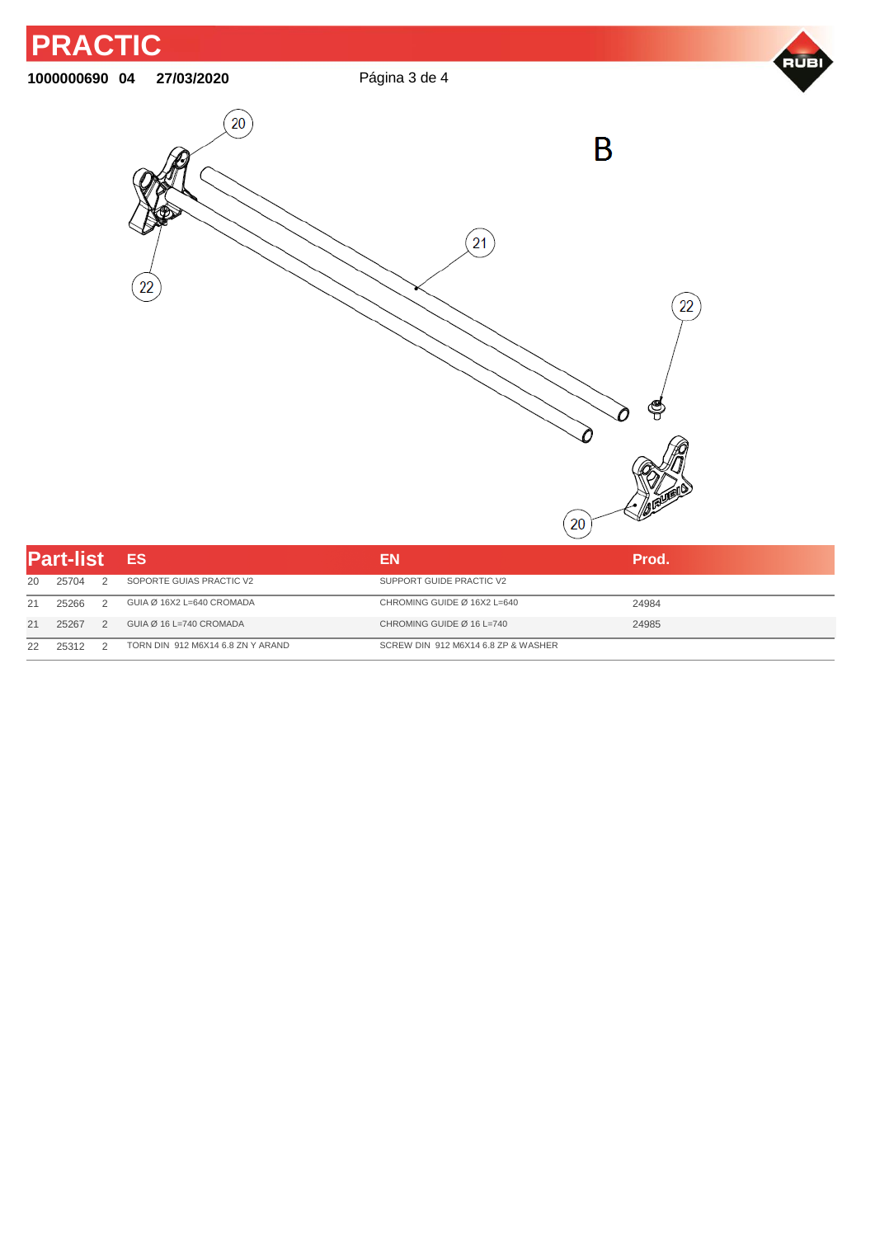